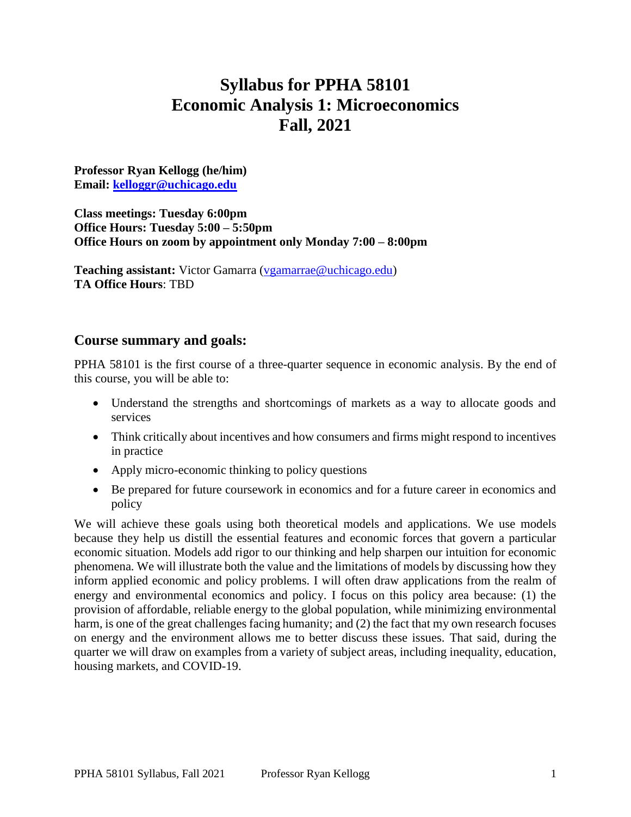# **Syllabus for PPHA 58101 Economic Analysis 1: Microeconomics Fall, 2021**

**Professor Ryan Kellogg (he/him) Email: [kelloggr@uchicago.edu](mailto:kelloggr@uchicago.edu)**

**Class meetings: Tuesday 6:00pm Office Hours: Tuesday 5:00 – 5:50pm Office Hours on zoom by appointment only Monday 7:00 – 8:00pm** 

**Teaching assistant:** Victor Gamarra [\(vgamarrae@uchicago.edu\)](mailto:vgamarrae@uchicago.edu) **TA Office Hours**: TBD

#### **Course summary and goals:**

PPHA 58101 is the first course of a three-quarter sequence in economic analysis. By the end of this course, you will be able to:

- Understand the strengths and shortcomings of markets as a way to allocate goods and services
- Think critically about incentives and how consumers and firms might respond to incentives in practice
- Apply micro-economic thinking to policy questions
- Be prepared for future coursework in economics and for a future career in economics and policy

We will achieve these goals using both theoretical models and applications. We use models because they help us distill the essential features and economic forces that govern a particular economic situation. Models add rigor to our thinking and help sharpen our intuition for economic phenomena. We will illustrate both the value and the limitations of models by discussing how they inform applied economic and policy problems. I will often draw applications from the realm of energy and environmental economics and policy. I focus on this policy area because: (1) the provision of affordable, reliable energy to the global population, while minimizing environmental harm, is one of the great challenges facing humanity; and (2) the fact that my own research focuses on energy and the environment allows me to better discuss these issues. That said, during the quarter we will draw on examples from a variety of subject areas, including inequality, education, housing markets, and COVID-19.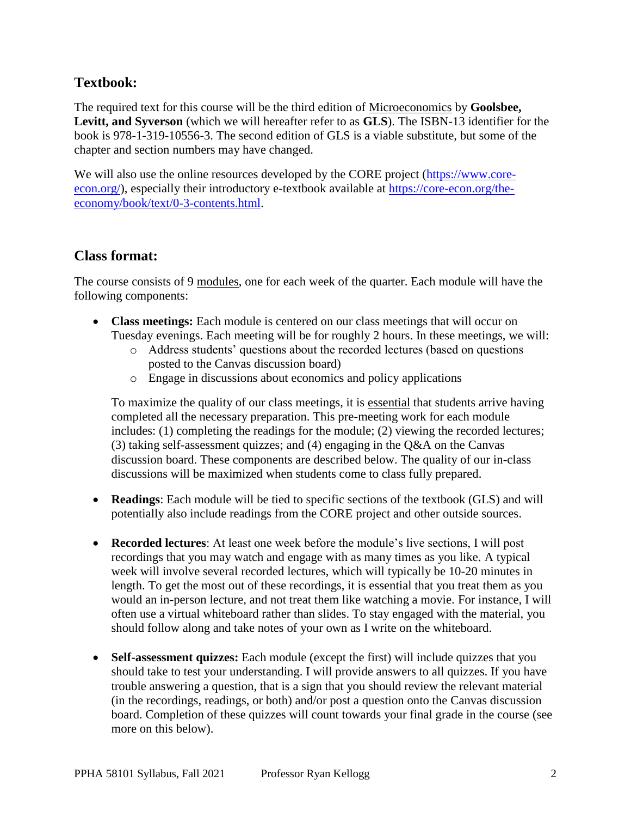# **Textbook:**

The required text for this course will be the third edition of Microeconomics by **Goolsbee, Levitt, and Syverson** (which we will hereafter refer to as **GLS**). The ISBN-13 identifier for the book is 978-1-319-10556-3. The second edition of GLS is a viable substitute, but some of the chapter and section numbers may have changed.

We will also use the online resources developed by the CORE project [\(https://www.core](https://www.core-econ.org/)[econ.org/\)](https://www.core-econ.org/), especially their introductory e-textbook available at [https://core-econ.org/the](https://core-econ.org/the-economy/book/text/0-3-contents.html)[economy/book/text/0-3-contents.html.](https://core-econ.org/the-economy/book/text/0-3-contents.html)

#### **Class format:**

The course consists of 9 modules, one for each week of the quarter. Each module will have the following components:

- **Class meetings:** Each module is centered on our class meetings that will occur on Tuesday evenings. Each meeting will be for roughly 2 hours. In these meetings, we will:
	- o Address students' questions about the recorded lectures (based on questions posted to the Canvas discussion board)
	- o Engage in discussions about economics and policy applications

To maximize the quality of our class meetings, it is essential that students arrive having completed all the necessary preparation. This pre-meeting work for each module includes: (1) completing the readings for the module; (2) viewing the recorded lectures; (3) taking self-assessment quizzes; and (4) engaging in the Q&A on the Canvas discussion board. These components are described below. The quality of our in-class discussions will be maximized when students come to class fully prepared.

- **Readings**: Each module will be tied to specific sections of the textbook (GLS) and will potentially also include readings from the CORE project and other outside sources.
- **Recorded lectures**: At least one week before the module's live sections, I will post recordings that you may watch and engage with as many times as you like. A typical week will involve several recorded lectures, which will typically be 10-20 minutes in length. To get the most out of these recordings, it is essential that you treat them as you would an in-person lecture, and not treat them like watching a movie. For instance, I will often use a virtual whiteboard rather than slides. To stay engaged with the material, you should follow along and take notes of your own as I write on the whiteboard.
- **Self-assessment quizzes:** Each module (except the first) will include quizzes that you should take to test your understanding. I will provide answers to all quizzes. If you have trouble answering a question, that is a sign that you should review the relevant material (in the recordings, readings, or both) and/or post a question onto the Canvas discussion board. Completion of these quizzes will count towards your final grade in the course (see more on this below).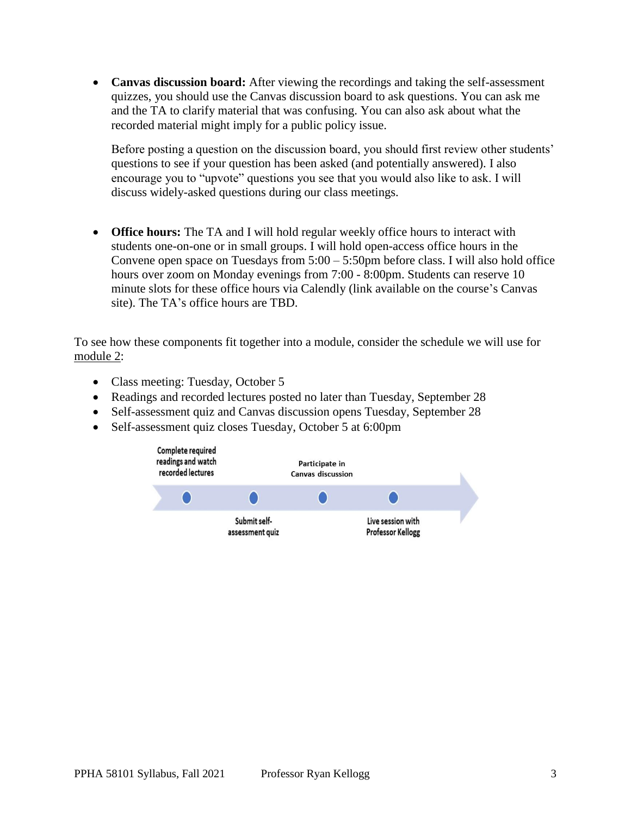**Canvas discussion board:** After viewing the recordings and taking the self-assessment quizzes, you should use the Canvas discussion board to ask questions. You can ask me and the TA to clarify material that was confusing. You can also ask about what the recorded material might imply for a public policy issue.

Before posting a question on the discussion board, you should first review other students' questions to see if your question has been asked (and potentially answered). I also encourage you to "upvote" questions you see that you would also like to ask. I will discuss widely-asked questions during our class meetings.

 **Office hours:** The TA and I will hold regular weekly office hours to interact with students one-on-one or in small groups. I will hold open-access office hours in the Convene open space on Tuesdays from 5:00 – 5:50pm before class. I will also hold office hours over zoom on Monday evenings from 7:00 - 8:00pm. Students can reserve 10 minute slots for these office hours via Calendly (link available on the course's Canvas site). The TA's office hours are TBD.

To see how these components fit together into a module, consider the schedule we will use for module 2:

- Class meeting: Tuesday, October 5
- Readings and recorded lectures posted no later than Tuesday, September 28
- Self-assessment quiz and Canvas discussion opens Tuesday, September 28
- Self-assessment quiz closes Tuesday, October 5 at 6:00pm

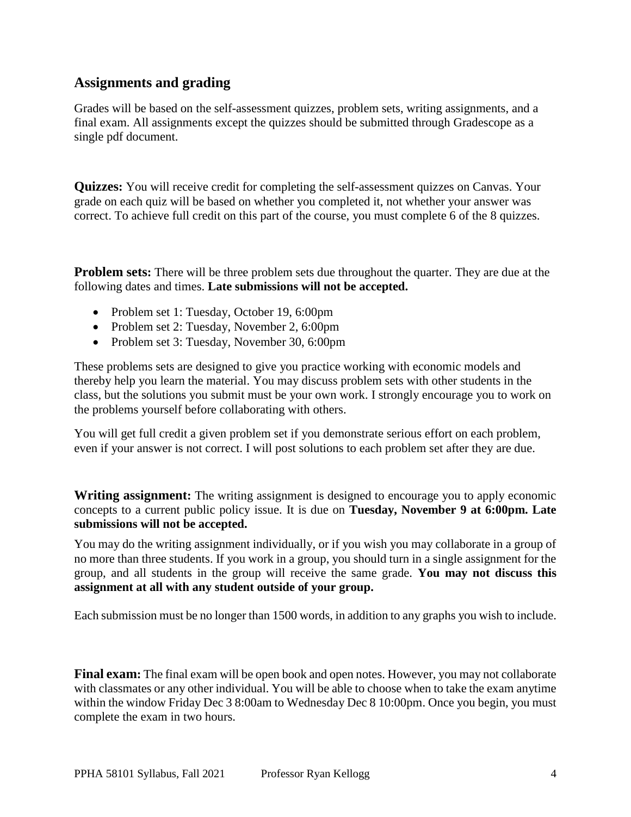## **Assignments and grading**

Grades will be based on the self-assessment quizzes, problem sets, writing assignments, and a final exam. All assignments except the quizzes should be submitted through Gradescope as a single pdf document.

**Quizzes:** You will receive credit for completing the self-assessment quizzes on Canvas. Your grade on each quiz will be based on whether you completed it, not whether your answer was correct. To achieve full credit on this part of the course, you must complete 6 of the 8 quizzes.

**Problem sets:** There will be three problem sets due throughout the quarter. They are due at the following dates and times. **Late submissions will not be accepted.**

- Problem set 1: Tuesday, October 19, 6:00pm
- Problem set 2: Tuesday, November 2, 6:00pm
- Problem set 3: Tuesday, November 30, 6:00pm

These problems sets are designed to give you practice working with economic models and thereby help you learn the material. You may discuss problem sets with other students in the class, but the solutions you submit must be your own work. I strongly encourage you to work on the problems yourself before collaborating with others.

You will get full credit a given problem set if you demonstrate serious effort on each problem, even if your answer is not correct. I will post solutions to each problem set after they are due.

**Writing assignment:** The writing assignment is designed to encourage you to apply economic concepts to a current public policy issue. It is due on **Tuesday, November 9 at 6:00pm. Late submissions will not be accepted.**

You may do the writing assignment individually, or if you wish you may collaborate in a group of no more than three students. If you work in a group, you should turn in a single assignment for the group, and all students in the group will receive the same grade. **You may not discuss this assignment at all with any student outside of your group.**

Each submission must be no longer than 1500 words, in addition to any graphs you wish to include.

**Final exam:** The final exam will be open book and open notes. However, you may not collaborate with classmates or any other individual. You will be able to choose when to take the exam anytime within the window Friday Dec 3 8:00am to Wednesday Dec 8 10:00pm. Once you begin, you must complete the exam in two hours.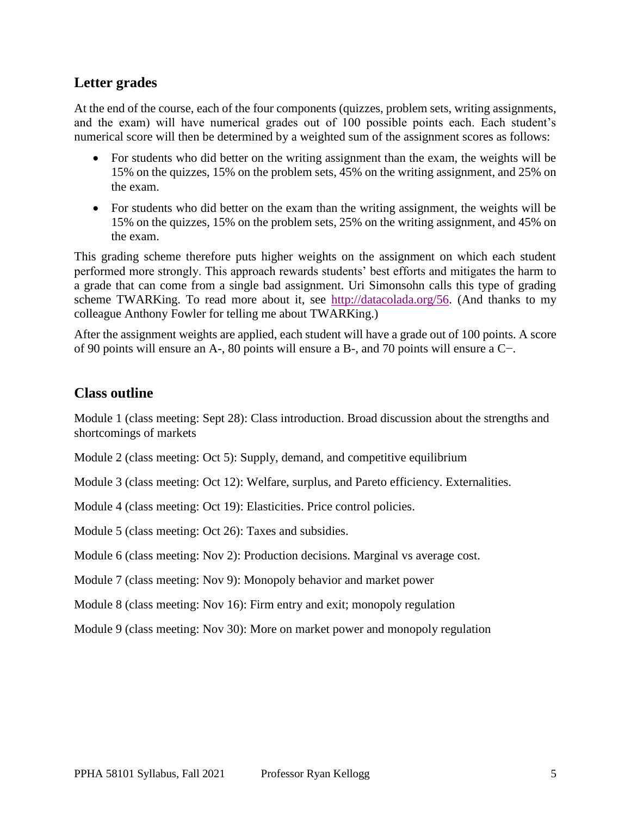## **Letter grades**

At the end of the course, each of the four components (quizzes, problem sets, writing assignments, and the exam) will have numerical grades out of 100 possible points each. Each student's numerical score will then be determined by a weighted sum of the assignment scores as follows:

- For students who did better on the writing assignment than the exam, the weights will be 15% on the quizzes, 15% on the problem sets, 45% on the writing assignment, and 25% on the exam.
- For students who did better on the exam than the writing assignment, the weights will be 15% on the quizzes, 15% on the problem sets, 25% on the writing assignment, and 45% on the exam.

This grading scheme therefore puts higher weights on the assignment on which each student performed more strongly. This approach rewards students' best efforts and mitigates the harm to a grade that can come from a single bad assignment. Uri Simonsohn calls this type of grading scheme TWARKing. To read more about it, see [http://datacolada.org/56.](http://datacolada.org/56) (And thanks to my colleague Anthony Fowler for telling me about TWARKing.)

After the assignment weights are applied, each student will have a grade out of 100 points. A score of 90 points will ensure an A-, 80 points will ensure a B-, and 70 points will ensure a C−.

#### **Class outline**

Module 1 (class meeting: Sept 28): Class introduction. Broad discussion about the strengths and shortcomings of markets

Module 2 (class meeting: Oct 5): Supply, demand, and competitive equilibrium

Module 3 (class meeting: Oct 12): Welfare, surplus, and Pareto efficiency. Externalities.

Module 4 (class meeting: Oct 19): Elasticities. Price control policies.

Module 5 (class meeting: Oct 26): Taxes and subsidies.

Module 6 (class meeting: Nov 2): Production decisions. Marginal vs average cost.

Module 7 (class meeting: Nov 9): Monopoly behavior and market power

Module 8 (class meeting: Nov 16): Firm entry and exit; monopoly regulation

Module 9 (class meeting: Nov 30): More on market power and monopoly regulation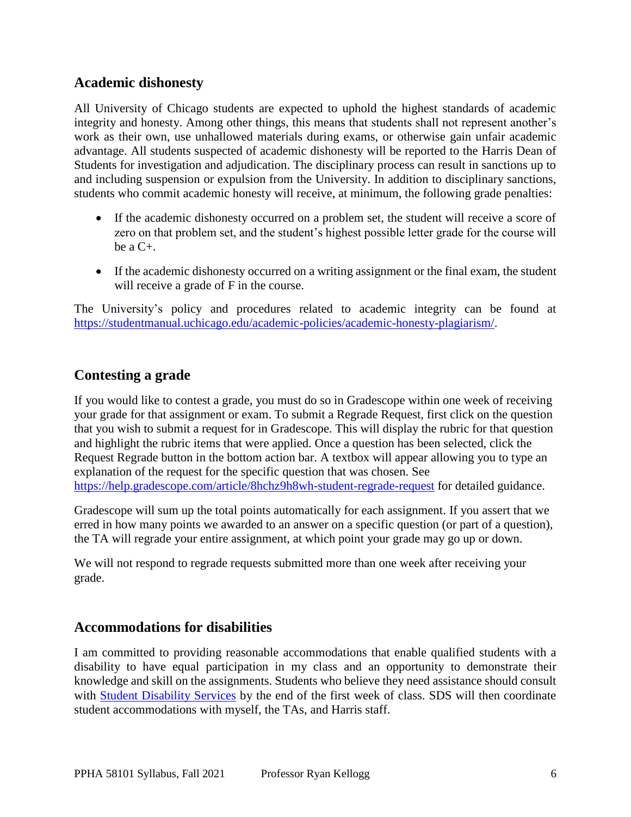## **Academic dishonesty**

All University of Chicago students are expected to uphold the highest standards of academic integrity and honesty. Among other things, this means that students shall not represent another's work as their own, use unhallowed materials during exams, or otherwise gain unfair academic advantage. All students suspected of academic dishonesty will be reported to the Harris Dean of Students for investigation and adjudication. The disciplinary process can result in sanctions up to and including suspension or expulsion from the University. In addition to disciplinary sanctions, students who commit academic honesty will receive, at minimum, the following grade penalties:

- If the academic dishonesty occurred on a problem set, the student will receive a score of zero on that problem set, and the student's highest possible letter grade for the course will be a C+.
- If the academic dishonesty occurred on a writing assignment or the final exam, the student will receive a grade of F in the course.

The University's policy and procedures related to academic integrity can be found at [https://studentmanual.uchicago.edu/academic-policies/academic-honesty-plagiarism/.](https://studentmanual.uchicago.edu/academic-policies/academic-honesty-plagiarism/)

# **Contesting a grade**

If you would like to contest a grade, you must do so in Gradescope within one week of receiving your grade for that assignment or exam. To submit a Regrade Request, first click on the question that you wish to submit a request for in Gradescope. This will display the rubric for that question and highlight the rubric items that were applied. Once a question has been selected, click the Request Regrade button in the bottom action bar. A textbox will appear allowing you to type an explanation of the request for the specific question that was chosen. See <https://help.gradescope.com/article/8hchz9h8wh-student-regrade-request> for detailed guidance.

Gradescope will sum up the total points automatically for each assignment. If you assert that we erred in how many points we awarded to an answer on a specific question (or part of a question), the TA will regrade your entire assignment, at which point your grade may go up or down.

We will not respond to regrade requests submitted more than one week after receiving your grade.

#### **Accommodations for disabilities**

I am committed to providing reasonable accommodations that enable qualified students with a disability to have equal participation in my class and an opportunity to demonstrate their knowledge and skill on the assignments. Students who believe they need assistance should consult with **Student Disability Services** by the end of the first week of class. SDS will then coordinate student accommodations with myself, the TAs, and Harris staff.